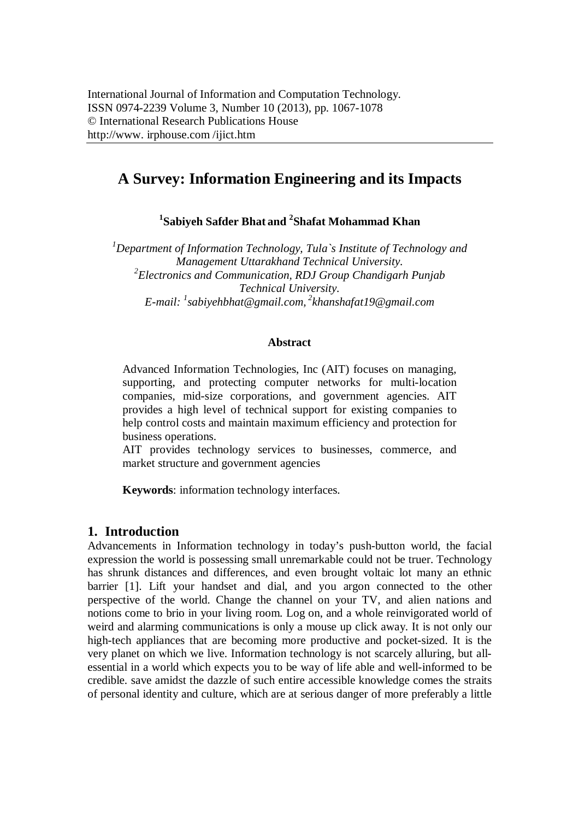# **A Survey: Information Engineering and its Impacts**

**1 Sabiyeh Safder Bhat and <sup>2</sup> Shafat Mohammad Khan**

*<sup>1</sup>Department of Information Technology, Tula`s Institute of Technology and Management Uttarakhand Technical University. 2 Electronics and Communication, RDJ Group Chandigarh Punjab Technical University. E-mail: <sup>1</sup> sabiyehbhat@gmail.com, <sup>2</sup> khanshafat19@gmail.com*

### **Abstract**

Advanced Information Technologies, Inc (AIT) focuses on managing, supporting, and protecting computer networks for multi-location companies, mid-size corporations, and government agencies. AIT provides a high level of technical support for existing companies to help control costs and maintain maximum efficiency and protection for business operations.

AIT provides technology services to businesses, commerce, and market structure and government agencies

**Keywords**: information technology interfaces.

## **1. Introduction**

Advancements in Information technology in today's push-button world, the facial expression the world is possessing small unremarkable could not be truer. Technology has shrunk distances and differences, and even brought voltaic lot many an ethnic barrier [1]. Lift your handset and dial, and you argon connected to the other perspective of the world. Change the channel on your TV, and alien nations and notions come to brio in your living room. Log on, and a whole reinvigorated world of weird and alarming communications is only a mouse up click away. It is not only our high-tech appliances that are becoming more productive and pocket-sized. It is the very planet on which we live. Information technology is not scarcely alluring, but allessential in a world which expects you to be way of life able and well-informed to be credible. save amidst the dazzle of such entire accessible knowledge comes the straits of personal identity and culture, which are at serious danger of more preferably a little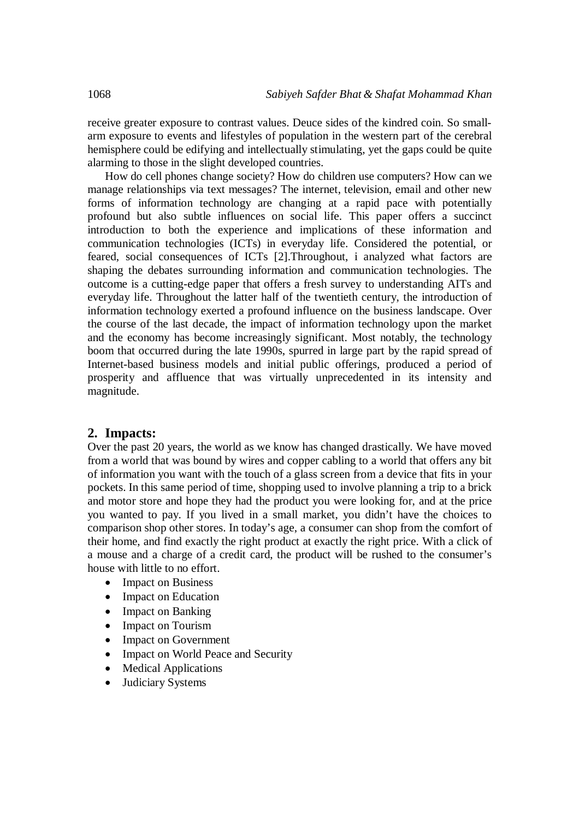receive greater exposure to contrast values. Deuce sides of the kindred coin. So smallarm exposure to events and lifestyles of population in the western part of the cerebral hemisphere could be edifying and intellectually stimulating, yet the gaps could be quite alarming to those in the slight developed countries.

How do cell phones change society? How do children use computers? How can we manage relationships via text messages? The internet, television, email and other new forms of information technology are changing at a rapid pace with potentially profound but also subtle influences on social life. This paper offers a succinct introduction to both the experience and implications of these information and communication technologies (ICTs) in everyday life. Considered the potential, or feared, social consequences of ICTs [2].Throughout, i analyzed what factors are shaping the debates surrounding information and communication technologies. The outcome is a cutting-edge paper that offers a fresh survey to understanding AITs and everyday life. Throughout the latter half of the twentieth century, the introduction of information technology exerted a profound influence on the business landscape. Over the course of the last decade, the impact of information technology upon the market and the economy has become increasingly significant. Most notably, the technology boom that occurred during the late 1990s, spurred in large part by the rapid spread of Internet-based business models and initial public offerings, produced a period of prosperity and affluence that was virtually unprecedented in its intensity and magnitude.

## **2. Impacts:**

Over the past 20 years, the world as we know has changed drastically. We have moved from a world that was bound by wires and copper cabling to a world that offers any bit of information you want with the touch of a glass screen from a device that fits in your pockets. In this same period of time, shopping used to involve planning a trip to a brick and motor store and hope they had the product you were looking for, and at the price you wanted to pay. If you lived in a small market, you didn't have the choices to comparison shop other stores. In today's age, a consumer can shop from the comfort of their home, and find exactly the right product at exactly the right price. With a click of a mouse and a charge of a credit card, the product will be rushed to the consumer's house with little to no effort.

- Impact on Business
- Impact on Education
- Impact on Banking
- Impact on Tourism
- Impact on Government
- Impact on World Peace and Security
- Medical Applications
- Judiciary Systems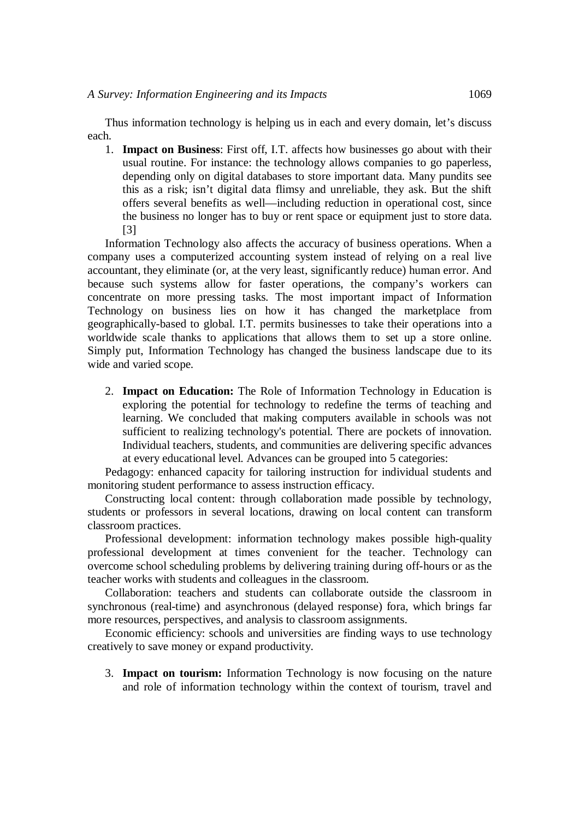Thus information technology is helping us in each and every domain, let's discuss each.

1. **Impact on Business**: First off, I.T. affects how businesses go about with their usual routine. For instance: the technology allows companies to go paperless, depending only on digital databases to store important data. Many pundits see this as a risk; isn't digital data flimsy and unreliable, they ask. But the shift offers several benefits as well—including reduction in operational cost, since the business no longer has to buy or rent space or equipment just to store data. [3]

Information Technology also affects the accuracy of business operations. When a company uses a computerized accounting system instead of relying on a real live accountant, they eliminate (or, at the very least, significantly reduce) human error. And because such systems allow for faster operations, the company's workers can concentrate on more pressing tasks. The most important impact of Information Technology on business lies on how it has changed the marketplace from geographically-based to global. I.T. permits businesses to take their operations into a worldwide scale thanks to applications that allows them to set up a store online. Simply put, Information Technology has changed the business landscape due to its wide and varied scope.

2. **Impact on Education:** The Role of Information Technology in Education is exploring the potential for technology to redefine the terms of teaching and learning. We concluded that making computers available in schools was not sufficient to realizing technology's potential. There are pockets of innovation. Individual teachers, students, and communities are delivering specific advances at every educational level. Advances can be grouped into 5 categories:

Pedagogy: enhanced capacity for tailoring instruction for individual students and monitoring student performance to assess instruction efficacy.

Constructing local content: through collaboration made possible by technology, students or professors in several locations, drawing on local content can transform classroom practices.

Professional development: information technology makes possible high-quality professional development at times convenient for the teacher. Technology can overcome school scheduling problems by delivering training during off-hours or as the teacher works with students and colleagues in the classroom.

Collaboration: teachers and students can collaborate outside the classroom in synchronous (real-time) and asynchronous (delayed response) fora, which brings far more resources, perspectives, and analysis to classroom assignments.

Economic efficiency: schools and universities are finding ways to use technology creatively to save money or expand productivity.

3. **Impact on tourism:** Information Technology is now focusing on the nature and role of information technology within the context of tourism, travel and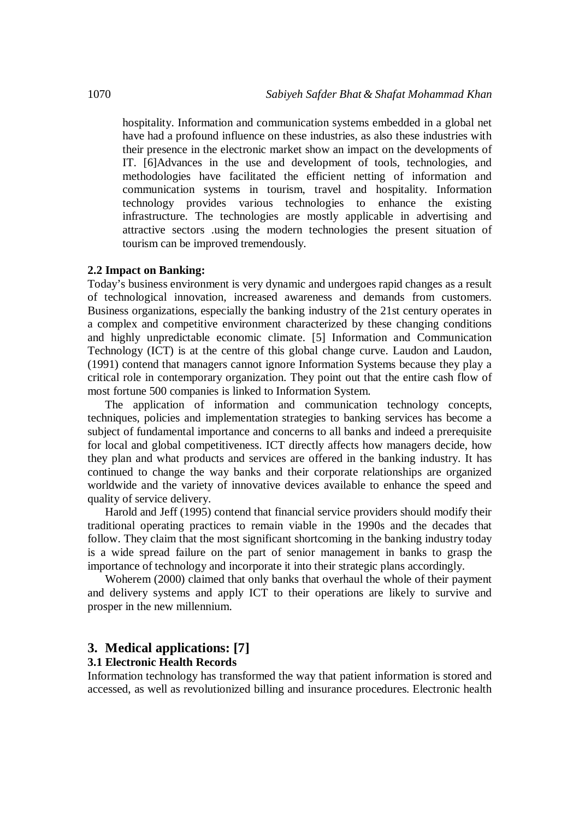hospitality. Information and communication systems embedded in a global net have had a profound influence on these industries, as also these industries with their presence in the electronic market show an impact on the developments of IT. [6]Advances in the use and development of tools, technologies, and methodologies have facilitated the efficient netting of information and communication systems in tourism, travel and hospitality. Information technology provides various technologies to enhance the existing infrastructure. The technologies are mostly applicable in advertising and attractive sectors .using the modern technologies the present situation of tourism can be improved tremendously.

#### **2.2 Impact on Banking:**

Today's business environment is very dynamic and undergoes rapid changes as a result of technological innovation, increased awareness and demands from customers. Business organizations, especially the banking industry of the 21st century operates in a complex and competitive environment characterized by these changing conditions and highly unpredictable economic climate. [5] Information and Communication Technology (ICT) is at the centre of this global change curve. Laudon and Laudon, (1991) contend that managers cannot ignore Information Systems because they play a critical role in contemporary organization. They point out that the entire cash flow of most fortune 500 companies is linked to Information System.

The application of information and communication technology concepts, techniques, policies and implementation strategies to banking services has become a subject of fundamental importance and concerns to all banks and indeed a prerequisite for local and global competitiveness. ICT directly affects how managers decide, how they plan and what products and services are offered in the banking industry. It has continued to change the way banks and their corporate relationships are organized worldwide and the variety of innovative devices available to enhance the speed and quality of service delivery.

Harold and Jeff (1995) contend that financial service providers should modify their traditional operating practices to remain viable in the 1990s and the decades that follow. They claim that the most significant shortcoming in the banking industry today is a wide spread failure on the part of senior management in banks to grasp the importance of technology and incorporate it into their strategic plans accordingly.

Woherem (2000) claimed that only banks that overhaul the whole of their payment and delivery systems and apply ICT to their operations are likely to survive and prosper in the new millennium.

## **3. Medical applications: [7]**

## **3.1 Electronic Health Records**

Information technology has transformed the way that patient information is stored and accessed, as well as revolutionized billing and insurance procedures. Electronic health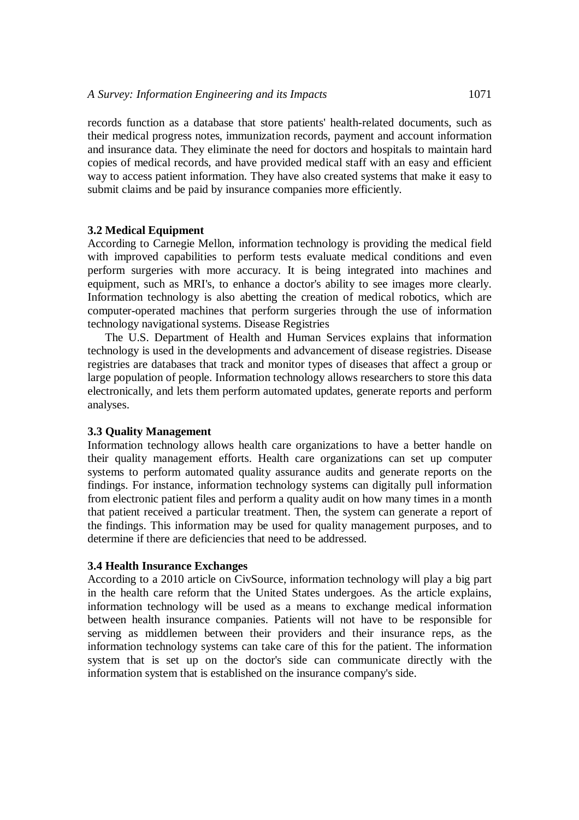records function as a database that store patients' health-related documents, such as their medical progress notes, immunization records, payment and account information and insurance data. They eliminate the need for doctors and hospitals to maintain hard copies of medical records, and have provided medical staff with an easy and efficient way to access patient information. They have also created systems that make it easy to submit claims and be paid by insurance companies more efficiently.

### **3.2 Medical Equipment**

According to Carnegie Mellon, information technology is providing the medical field with improved capabilities to perform tests evaluate medical conditions and even perform surgeries with more accuracy. It is being integrated into machines and equipment, such as MRI's, to enhance a doctor's ability to see images more clearly. Information technology is also abetting the creation of medical robotics, which are computer-operated machines that perform surgeries through the use of information technology navigational systems. Disease Registries

The U.S. Department of Health and Human Services explains that information technology is used in the developments and advancement of disease registries. Disease registries are databases that track and monitor types of diseases that affect a group or large population of people. Information technology allows researchers to store this data electronically, and lets them perform automated updates, generate reports and perform analyses.

#### **3.3 Quality Management**

Information technology allows health care organizations to have a better handle on their quality management efforts. Health care organizations can set up computer systems to perform automated quality assurance audits and generate reports on the findings. For instance, information technology systems can digitally pull information from electronic patient files and perform a quality audit on how many times in a month that patient received a particular treatment. Then, the system can generate a report of the findings. This information may be used for quality management purposes, and to determine if there are deficiencies that need to be addressed.

#### **3.4 Health Insurance Exchanges**

According to a 2010 article on CivSource, information technology will play a big part in the health care reform that the United States undergoes. As the article explains, information technology will be used as a means to exchange medical information between health insurance companies. Patients will not have to be responsible for serving as middlemen between their providers and their insurance reps, as the information technology systems can take care of this for the patient. The information system that is set up on the doctor's side can communicate directly with the information system that is established on the insurance company's side.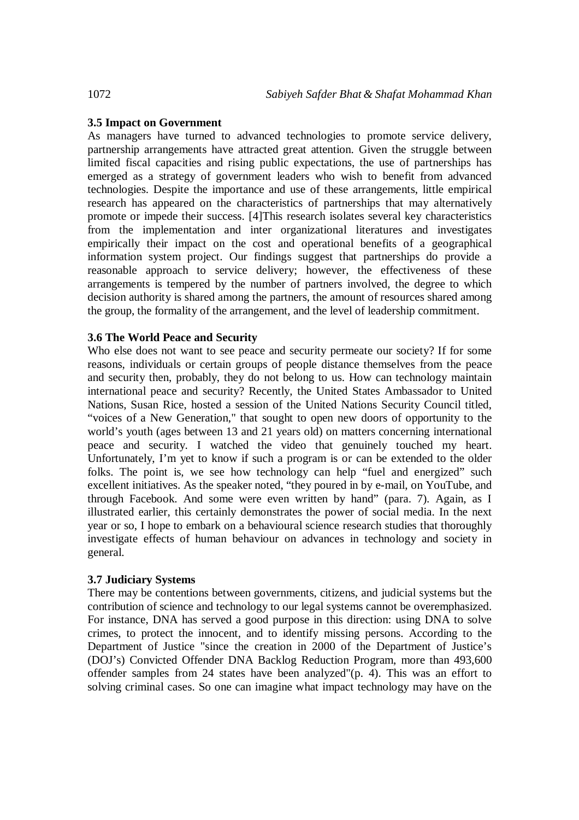## **3.5 Impact on Government**

As managers have turned to advanced technologies to promote service delivery, partnership arrangements have attracted great attention. Given the struggle between limited fiscal capacities and rising public expectations, the use of partnerships has emerged as a strategy of government leaders who wish to benefit from advanced technologies. Despite the importance and use of these arrangements, little empirical research has appeared on the characteristics of partnerships that may alternatively promote or impede their success. [4]This research isolates several key characteristics from the implementation and inter organizational literatures and investigates empirically their impact on the cost and operational benefits of a geographical information system project. Our findings suggest that partnerships do provide a reasonable approach to service delivery; however, the effectiveness of these arrangements is tempered by the number of partners involved, the degree to which decision authority is shared among the partners, the amount of resources shared among the group, the formality of the arrangement, and the level of leadership commitment.

## **3.6 The World Peace and Security**

Who else does not want to see peace and security permeate our society? If for some reasons, individuals or certain groups of people distance themselves from the peace and security then, probably, they do not belong to us. How can technology maintain international peace and security? Recently, the United States Ambassador to United Nations, Susan Rice, hosted a session of the United Nations Security Council titled, "voices of a New Generation," that sought to open new doors of opportunity to the world's youth (ages between 13 and 21 years old) on matters concerning international peace and security. I watched the video that genuinely touched my heart. Unfortunately, I'm yet to know if such a program is or can be extended to the older folks. The point is, we see how technology can help "fuel and energized" such excellent initiatives. As the speaker noted, "they poured in by e-mail, on YouTube, and through Facebook. And some were even written by hand" (para. 7). Again, as I illustrated earlier, this certainly demonstrates the power of social media. In the next year or so, I hope to embark on a behavioural science research studies that thoroughly investigate effects of human behaviour on advances in technology and society in general.

## **3.7 Judiciary Systems**

There may be contentions between governments, citizens, and judicial systems but the contribution of science and technology to our legal systems cannot be overemphasized. For instance, DNA has served a good purpose in this direction: using DNA to solve crimes, to protect the innocent, and to identify missing persons. According to the Department of Justice "since the creation in 2000 of the Department of Justice's (DOJ's) Convicted Offender DNA Backlog Reduction Program, more than 493,600 offender samples from 24 states have been analyzed"(p. 4). This was an effort to solving criminal cases. So one can imagine what impact technology may have on the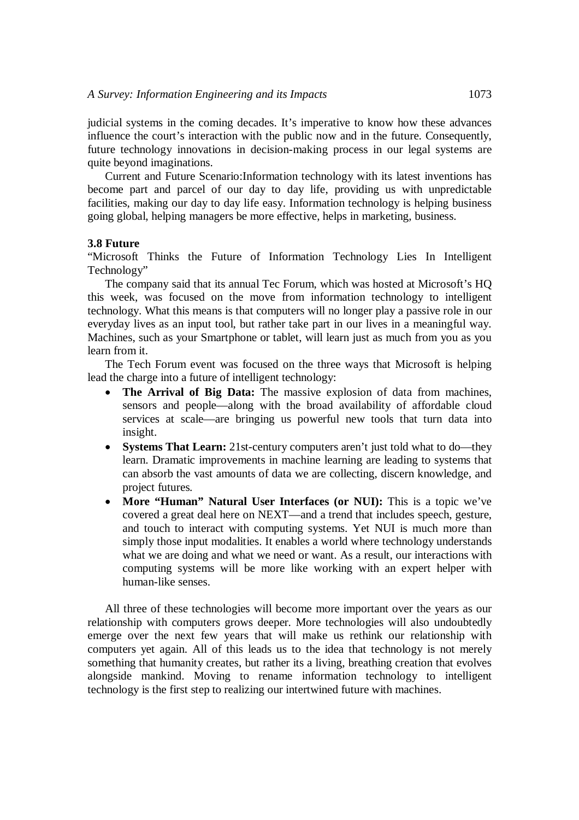judicial systems in the coming decades. It's imperative to know how these advances influence the court's interaction with the public now and in the future. Consequently, future technology innovations in decision-making process in our legal systems are quite beyond imaginations.

Current and Future Scenario:Information technology with its latest inventions has become part and parcel of our day to day life, providing us with unpredictable facilities, making our day to day life easy. Information technology is helping business going global, helping managers be more effective, helps in marketing, business.

#### **3.8 Future**

"Microsoft Thinks the Future of Information Technology Lies In Intelligent Technology"

The company said that its annual Tec Forum, which was hosted at Microsoft's HQ this week, was focused on the move from information technology to intelligent technology. What this means is that computers will no longer play a passive role in our everyday lives as an input tool, but rather take part in our lives in a meaningful way. Machines, such as your Smartphone or tablet, will learn just as much from you as you learn from it.

The Tech Forum event was focused on the three ways that Microsoft is helping lead the charge into a future of intelligent technology:

- **The Arrival of Big Data:** The massive explosion of data from machines, sensors and people—along with the broad availability of affordable cloud services at scale—are bringing us powerful new tools that turn data into insight.
- **Systems That Learn:** 21st-century computers aren't just told what to do—they learn. Dramatic improvements in machine learning are leading to systems that can absorb the vast amounts of data we are collecting, discern knowledge, and project futures.
- **More "Human" Natural User Interfaces (or NUI):** This is a topic we've covered a great deal here on NEXT—and a trend that includes speech, gesture, and touch to interact with computing systems. Yet NUI is much more than simply those input modalities. It enables a world where technology understands what we are doing and what we need or want. As a result, our interactions with computing systems will be more like working with an expert helper with human-like senses.

All three of these technologies will become more important over the years as our relationship with computers grows deeper. More technologies will also undoubtedly emerge over the next few years that will make us rethink our relationship with computers yet again. All of this leads us to the idea that technology is not merely something that humanity creates, but rather its a living, breathing creation that evolves alongside mankind. Moving to rename information technology to intelligent technology is the first step to realizing our intertwined future with machines.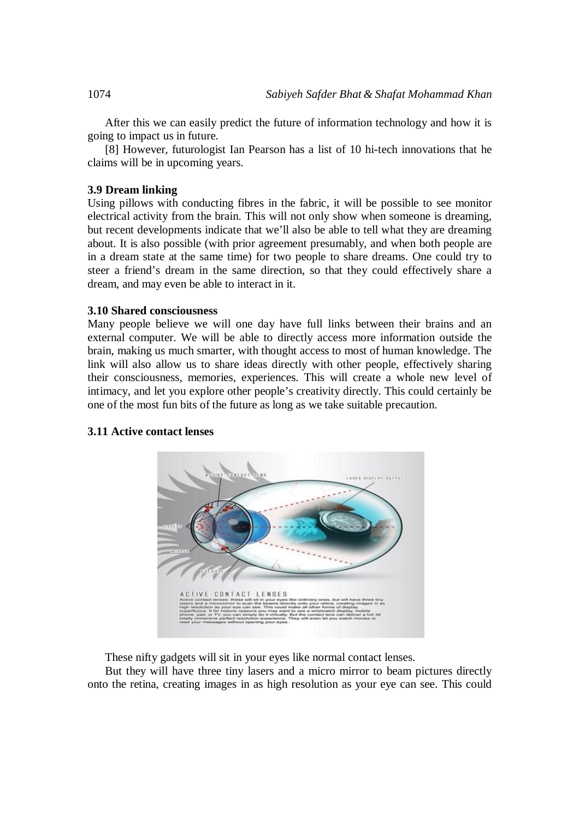After this we can easily predict the future of information technology and how it is going to impact us in future.

[8] However, futurologist Ian Pearson has a list of 10 hi-tech innovations that he claims will be in upcoming years.

## **3.9 Dream linking**

Using pillows with conducting fibres in the fabric, it will be possible to see monitor electrical activity from the brain. This will not only show when someone is dreaming, but recent developments indicate that we'll also be able to tell what they are dreaming about. It is also possible (with prior agreement presumably, and when both people are in a dream state at the same time) for two people to share dreams. One could try to steer a friend's dream in the same direction, so that they could effectively share a dream, and may even be able to interact in it.

#### **3.10 Shared consciousness**

Many people believe we will one day have full links between their brains and an external computer. We will be able to directly access more information outside the brain, making us much smarter, with thought access to most of human knowledge. The link will also allow us to share ideas directly with other people, effectively sharing their consciousness, memories, experiences. This will create a whole new level of intimacy, and let you explore other people's creativity directly. This could certainly be one of the most fun bits of the future as long as we take suitable precaution.

#### **3.11 Active contact lenses**



These nifty gadgets will sit in your eyes like normal contact lenses.

But they will have three tiny lasers and a micro mirror to beam pictures directly onto the retina, creating images in as high resolution as your eye can see. This could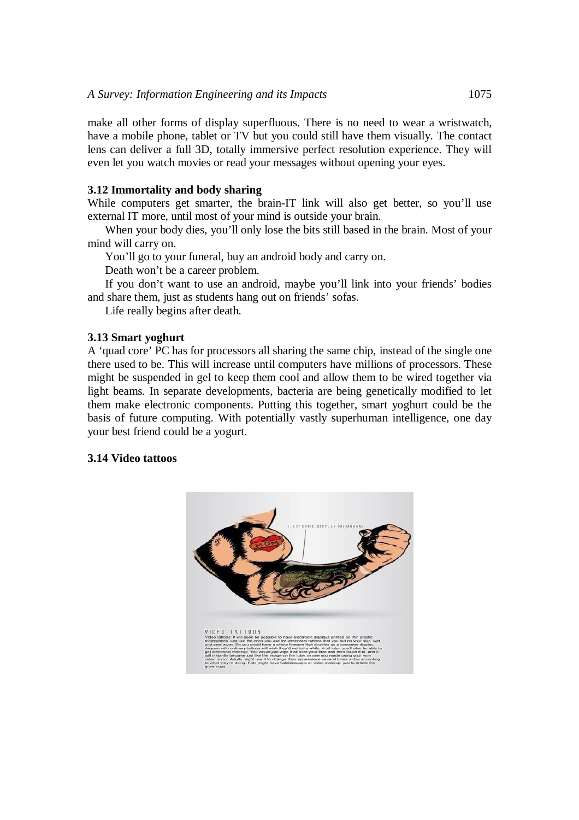make all other forms of display superfluous. There is no need to wear a wristwatch, have a mobile phone, tablet or TV but you could still have them visually. The contact lens can deliver a full 3D, totally immersive perfect resolution experience. They will even let you watch movies or read your messages without opening your eyes.

### **3.12 Immortality and body sharing**

While computers get smarter, the brain-IT link will also get better, so you'll use external IT more, until most of your mind is outside your brain.

When your body dies, you'll only lose the bits still based in the brain. Most of your mind will carry on.

You'll go to your funeral, buy an android body and carry on.

Death won't be a career problem.

If you don't want to use an android, maybe you'll link into your friends' bodies and share them, just as students hang out on friends' sofas.

Life really begins after death.

## **3.13 Smart yoghurt**

A 'quad core' PC has for processors all sharing the same chip, instead of the single one there used to be. This will increase until computers have millions of processors. These might be suspended in gel to keep them cool and allow them to be wired together via light beams. In separate developments, bacteria are being genetically modified to let them make electronic components. Putting this together, smart yoghurt could be the basis of future computing. With potentially vastly superhuman intelligence, one day your best friend could be a yogurt.

#### **3.14 Video tattoos**

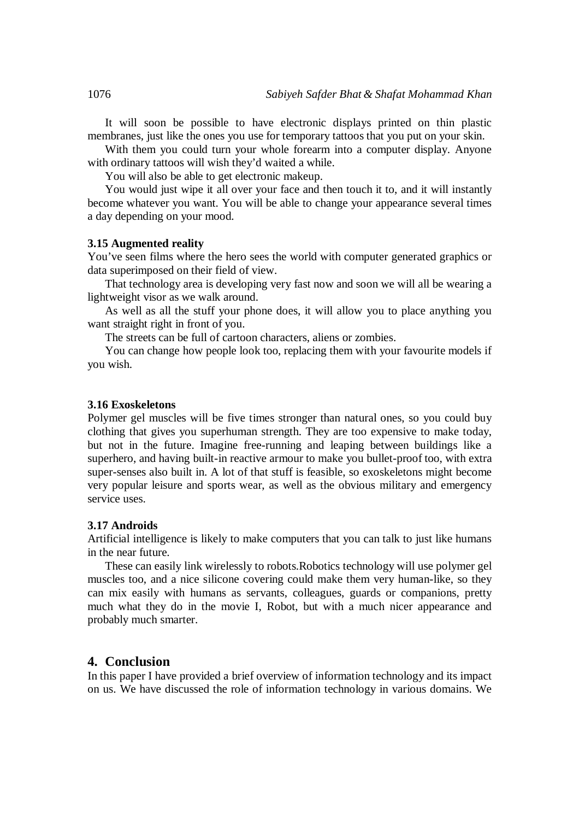It will soon be possible to have electronic displays printed on thin plastic membranes, just like the ones you use for temporary tattoos that you put on your skin.

With them you could turn your whole forearm into a computer display. Anyone with ordinary tattoos will wish they'd waited a while.

You will also be able to get electronic makeup.

You would just wipe it all over your face and then touch it to, and it will instantly become whatever you want. You will be able to change your appearance several times a day depending on your mood.

#### **3.15 Augmented reality**

You've seen films where the hero sees the world with computer generated graphics or data superimposed on their field of view.

That technology area is developing very fast now and soon we will all be wearing a lightweight visor as we walk around.

As well as all the stuff your phone does, it will allow you to place anything you want straight right in front of you.

The streets can be full of cartoon characters, aliens or zombies.

You can change how people look too, replacing them with your favourite models if you wish.

#### **3.16 Exoskeletons**

Polymer gel muscles will be five times stronger than natural ones, so you could buy clothing that gives you superhuman strength. They are too expensive to make today, but not in the future. Imagine free-running and leaping between buildings like a superhero, and having built-in reactive armour to make you bullet-proof too, with extra super-senses also built in. A lot of that stuff is feasible, so exoskeletons might become very popular leisure and sports wear, as well as the obvious military and emergency service uses.

#### **3.17 Androids**

Artificial intelligence is likely to make computers that you can talk to just like humans in the near future.

These can easily link wirelessly to robots.Robotics technology will use polymer gel muscles too, and a nice silicone covering could make them very human-like, so they can mix easily with humans as servants, colleagues, guards or companions, pretty much what they do in the movie I, Robot, but with a much nicer appearance and probably much smarter.

## **4. Conclusion**

In this paper I have provided a brief overview of information technology and its impact on us. We have discussed the role of information technology in various domains. We